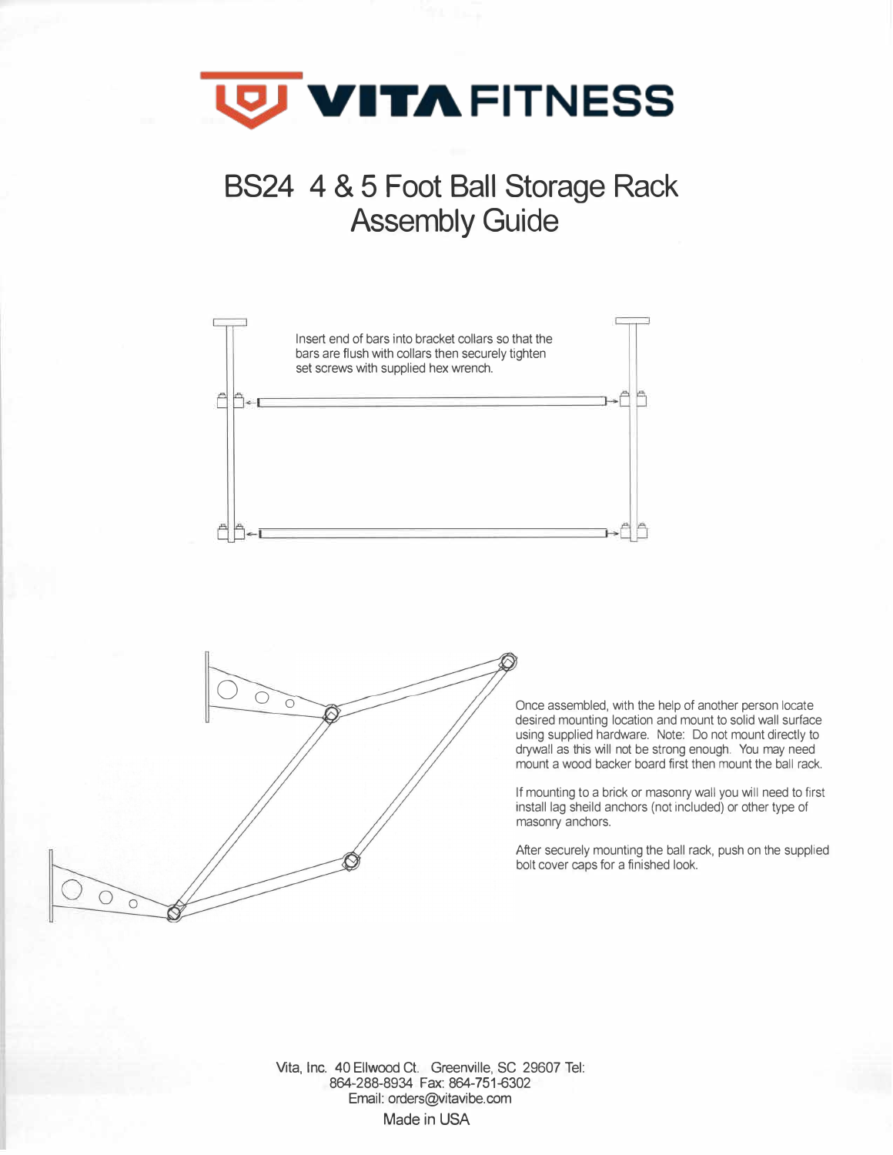

## **B824 4 & 5 Foot Ball Storage Rack Assembly Guide**





Once assembled, with the help of another person locate desired mounting location and mount to solid wall surface using supplied hardware. Note: Do not mount directly to drywall as this will not be strong enough. You may need mount a wood backer board first then mount the ball rack.

If mounting to a brick or masonry wall you will need to first install lag sheild anchors (not included) or other type of masonry anchors.

After securely mounting the ball rack, push on the supplied bolt cover caps for a finished look.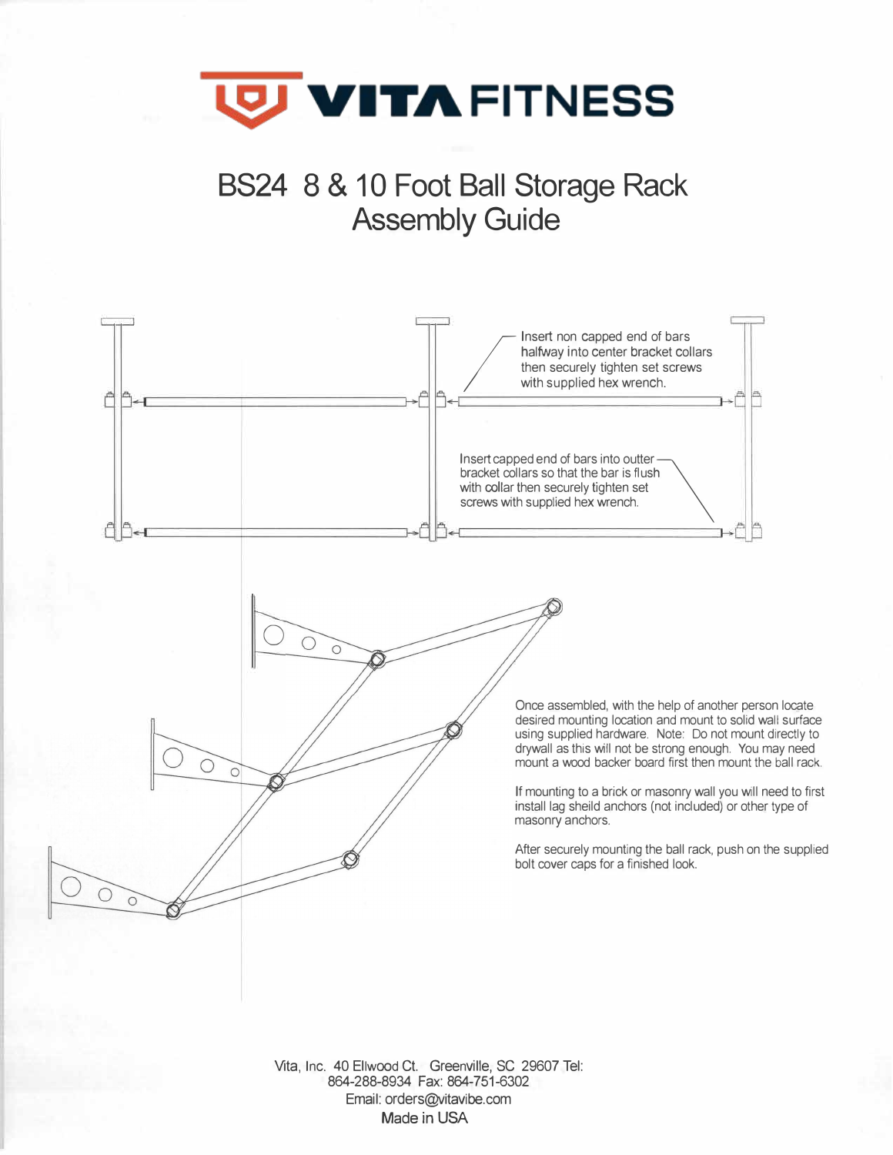

**BS24 8 & 10 Foot Ball Storage Rack Assembly Guide** 

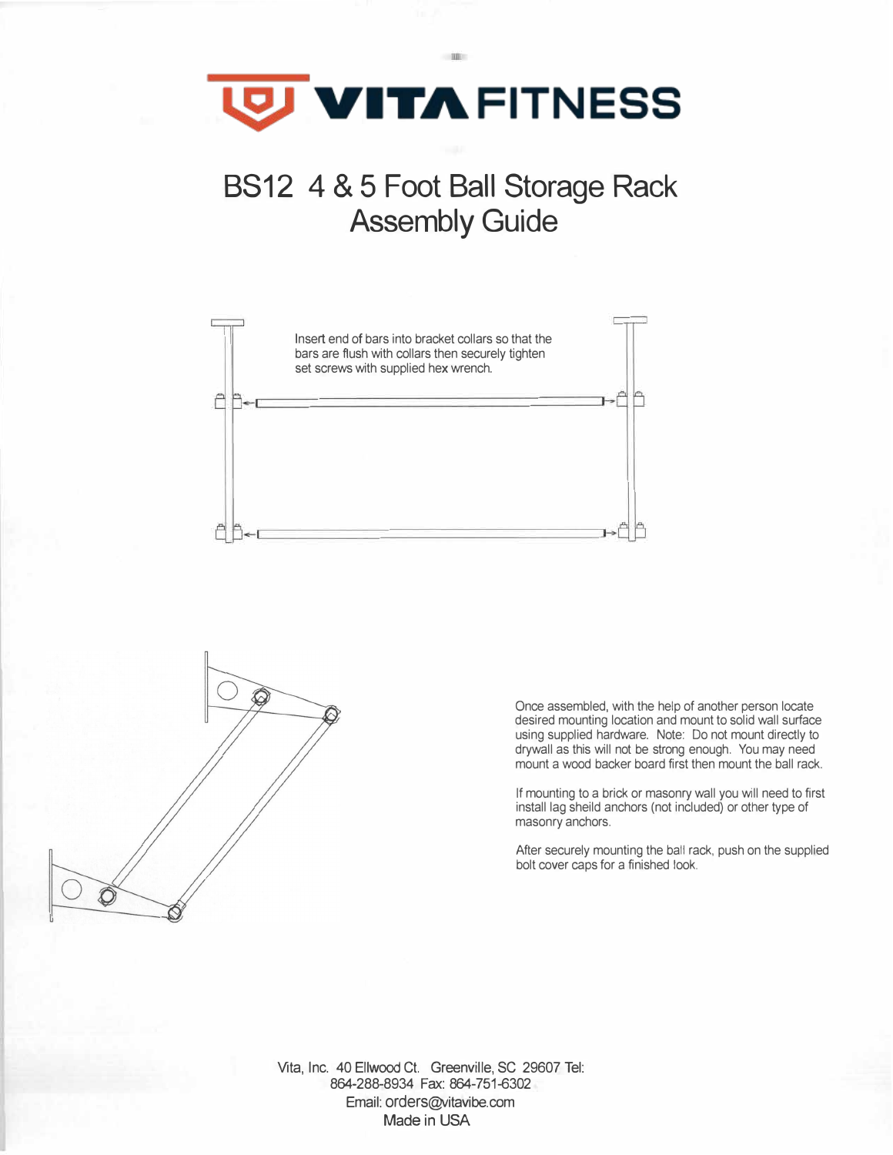

## **B812 4 & 5 Foot Ball Storage Rack Assembly Guide**





Once assembled, with the help of another person locate desired mounting location and mount to solid wall surface using supplied hardware. Note: Do not mount directly to drywall as this will not be strong enough. You may need mount a wood backer board first then mount the ball rack.

If mounting to a brick or masonry wall you will need to first install lag sheild anchors (not included) or other type of masonry anchors.

After securely mounting the ball rack, push on the supplied bolt cover caps for a finished look.